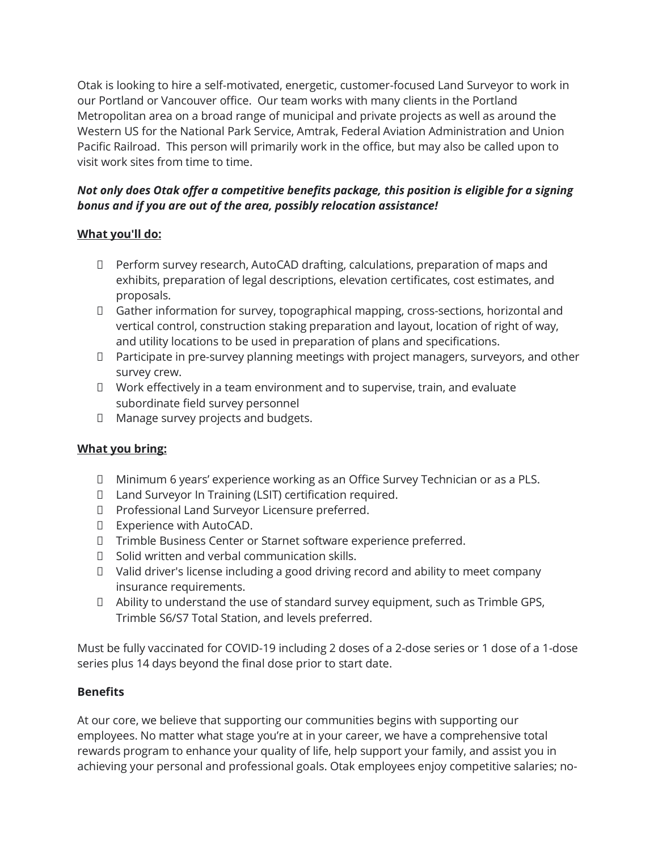Otak is looking to hire a self-motivated, energetic, customer-focused Land Surveyor to work in our Portland or Vancouver office. Our team works with many clients in the Portland Metropolitan area on a broad range of municipal and private projects as well as around the Western US for the National Park Service, Amtrak, Federal Aviation Administration and Union Pacific Railroad. This person will primarily work in the office, but may also be called upon to visit work sites from time to time.

## *Not only does Otak offer a competitive benefits package, this position is eligible for a signing bonus and if you are out of the area, possibly relocation assistance!*

### **What you'll do:**

- Perform survey research, AutoCAD drafting, calculations, preparation of maps and exhibits, preparation of legal descriptions, elevation certificates, cost estimates, and proposals.
- Gather information for survey, topographical mapping, cross-sections, horizontal and vertical control, construction staking preparation and layout, location of right of way, and utility locations to be used in preparation of plans and specifications.
- Participate in pre-survey planning meetings with project managers, surveyors, and other survey crew.
- $\Box$  Work effectively in a team environment and to supervise, train, and evaluate subordinate field survey personnel
- Manage survey projects and budgets.

# **What you bring:**

- Minimum 6 years' experience working as an Office Survey Technician or as a PLS.
- Land Surveyor In Training (LSIT) certification required.
- D Professional Land Surveyor Licensure preferred.
- Experience with AutoCAD.
- Trimble Business Center or Starnet software experience preferred.
- Solid written and verbal communication skills.
- Valid driver's license including a good driving record and ability to meet company insurance requirements.
- Ability to understand the use of standard survey equipment, such as Trimble GPS, Trimble S6/S7 Total Station, and levels preferred.

Must be fully vaccinated for COVID-19 including 2 doses of a 2-dose series or 1 dose of a 1-dose series plus 14 days beyond the final dose prior to start date.

#### **Benefits**

At our core, we believe that supporting our communities begins with supporting our employees. No matter what stage you're at in your career, we have a comprehensive total rewards program to enhance your quality of life, help support your family, and assist you in achieving your personal and professional goals. Otak employees enjoy competitive salaries; no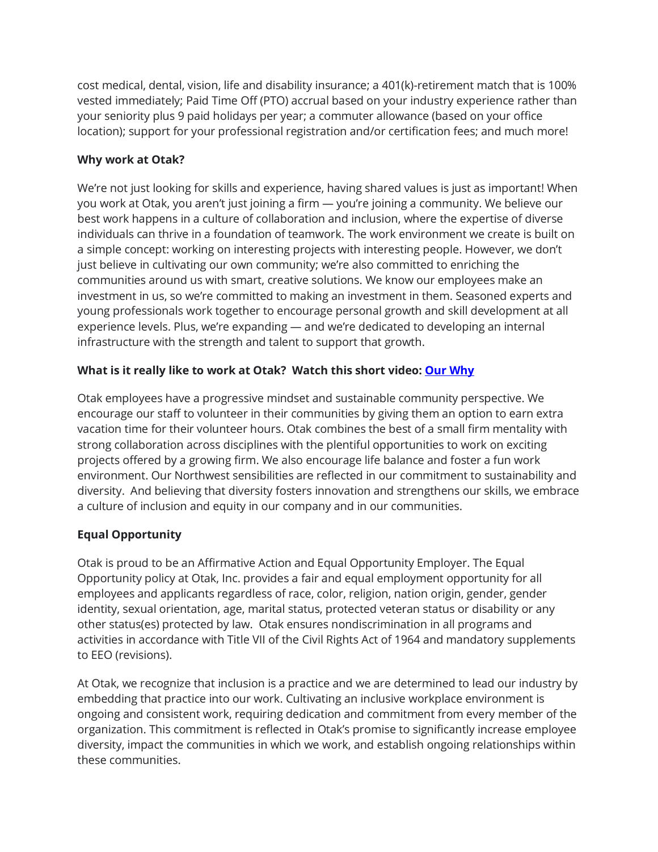cost medical, dental, vision, life and disability insurance; a 401(k)-retirement match that is 100% vested immediately; Paid Time Off (PTO) accrual based on your industry experience rather than your seniority plus 9 paid holidays per year; a commuter allowance (based on your office location); support for your professional registration and/or certification fees; and much more!

### **Why work at Otak?**

We're not just looking for skills and experience, having shared values is just as important! When you work at Otak, you aren't just joining a firm — you're joining a community. We believe our best work happens in a culture of collaboration and inclusion, where the expertise of diverse individuals can thrive in a foundation of teamwork. The work environment we create is built on a simple concept: working on interesting projects with interesting people. However, we don't just believe in cultivating our own community; we're also committed to enriching the communities around us with smart, creative solutions. We know our employees make an investment in us, so we're committed to making an investment in them. Seasoned experts and young professionals work together to encourage personal growth and skill development at all experience levels. Plus, we're expanding — and we're dedicated to developing an internal infrastructure with the strength and talent to support that growth.

### **What is it really like to work at Otak? Watch this short video: [Our Why](https://www.otak.com/our-why-video/)**

Otak employees have a progressive mindset and sustainable community perspective. We encourage our staff to volunteer in their communities by giving them an option to earn extra vacation time for their volunteer hours. Otak combines the best of a small firm mentality with strong collaboration across disciplines with the plentiful opportunities to work on exciting projects offered by a growing firm. We also encourage life balance and foster a fun work environment. Our Northwest sensibilities are reflected in our commitment to sustainability and diversity. And believing that diversity fosters innovation and strengthens our skills, we embrace a culture of inclusion and equity in our company and in our communities.

# **Equal Opportunity**

Otak is proud to be an Affirmative Action and Equal Opportunity Employer. The Equal Opportunity policy at Otak, Inc. provides a fair and equal employment opportunity for all employees and applicants regardless of race, color, religion, nation origin, gender, gender identity, sexual orientation, age, marital status, protected veteran status or disability or any other status(es) protected by law. Otak ensures nondiscrimination in all programs and activities in accordance with Title VII of the Civil Rights Act of 1964 and mandatory supplements to EEO (revisions).

At Otak, we recognize that inclusion is a practice and we are determined to lead our industry by embedding that practice into our work. Cultivating an inclusive workplace environment is ongoing and consistent work, requiring dedication and commitment from every member of the organization. This commitment is reflected in Otak's promise to significantly increase employee diversity, impact the communities in which we work, and establish ongoing relationships within these communities.